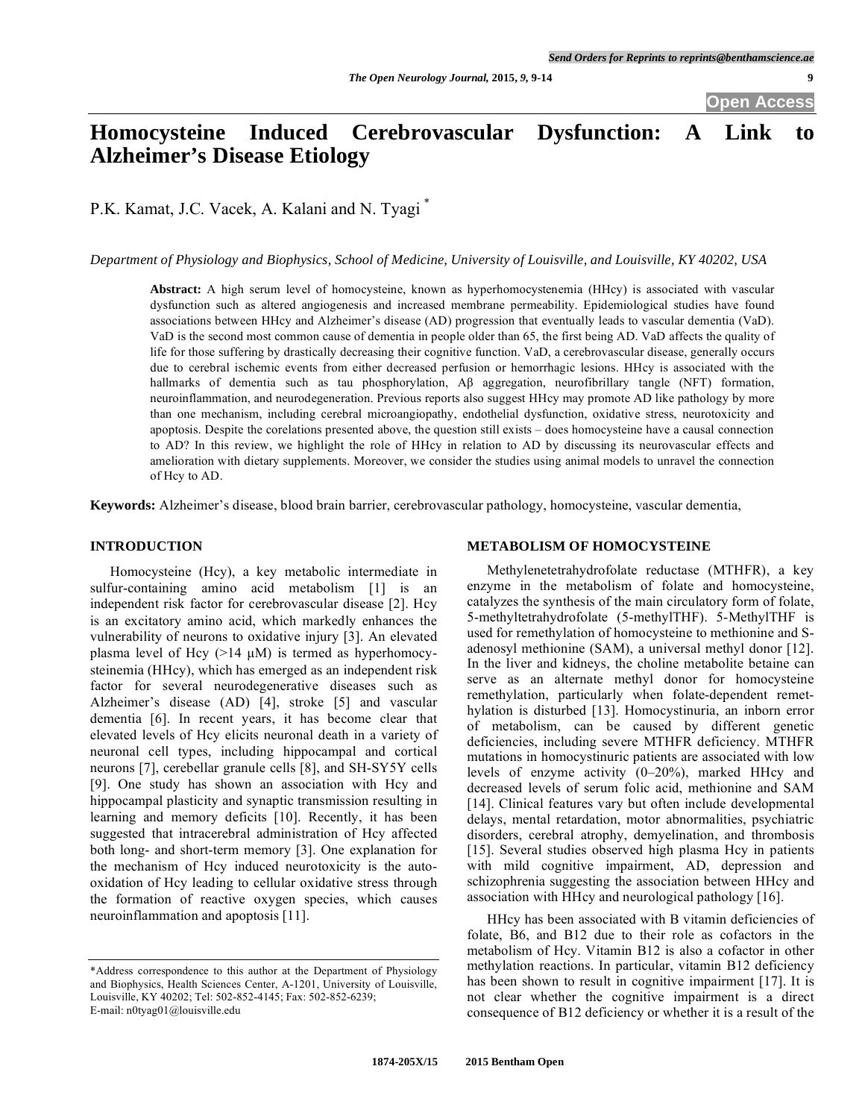# **Homocysteine Induced Cerebrovascular Dysfunction: A Link to Alzheimer's Disease Etiology**

P.K. Kamat, J.C. Vacek, A. Kalani and N. Tyagi \*

*Department of Physiology and Biophysics, School of Medicine, University of Louisville, and Louisville, KY 40202, USA* 

**Abstract:** A high serum level of homocysteine, known as hyperhomocystenemia (HHcy) is associated with vascular dysfunction such as altered angiogenesis and increased membrane permeability. Epidemiological studies have found associations between HHcy and Alzheimer's disease (AD) progression that eventually leads to vascular dementia (VaD). VaD is the second most common cause of dementia in people older than 65, the first being AD. VaD affects the quality of life for those suffering by drastically decreasing their cognitive function. VaD, a cerebrovascular disease, generally occurs due to cerebral ischemic events from either decreased perfusion or hemorrhagic lesions. HHcy is associated with the hallmarks of dementia such as tau phosphorylation,  $\overrightarrow{AB}$  aggregation, neurofibrillary tangle (NFT) formation, neuroinflammation, and neurodegeneration. Previous reports also suggest HHcy may promote AD like pathology by more than one mechanism, including cerebral microangiopathy, endothelial dysfunction, oxidative stress, neurotoxicity and apoptosis. Despite the corelations presented above, the question still exists – does homocysteine have a causal connection to AD? In this review, we highlight the role of HHcy in relation to AD by discussing its neurovascular effects and amelioration with dietary supplements. Moreover, we consider the studies using animal models to unravel the connection of Hcy to AD.

**Keywords:** Alzheimer's disease, blood brain barrier, cerebrovascular pathology, homocysteine, vascular dementia,

## **INTRODUCTION**

 Homocysteine (Hcy), a key metabolic intermediate in sulfur-containing amino acid metabolism [1] is an independent risk factor for cerebrovascular disease [2]. Hcy is an excitatory amino acid, which markedly enhances the vulnerability of neurons to oxidative injury [3]. An elevated plasma level of Hcy  $(>14 \mu M)$  is termed as hyperhomocysteinemia (HHcy), which has emerged as an independent risk factor for several neurodegenerative diseases such as Alzheimer's disease (AD) [4], stroke [5] and vascular dementia [6]. In recent years, it has become clear that elevated levels of Hcy elicits neuronal death in a variety of neuronal cell types, including hippocampal and cortical neurons [7], cerebellar granule cells [8], and SH-SY5Y cells [9]. One study has shown an association with Hcy and hippocampal plasticity and synaptic transmission resulting in learning and memory deficits [10]. Recently, it has been suggested that intracerebral administration of Hcy affected both long- and short-term memory [3]. One explanation for the mechanism of Hcy induced neurotoxicity is the autooxidation of Hcy leading to cellular oxidative stress through the formation of reactive oxygen species, which causes neuroinflammation and apoptosis [11].

## **METABOLISM OF HOMOCYSTEINE**

 Methylenetetrahydrofolate reductase (MTHFR), a key enzyme in the metabolism of folate and homocysteine, catalyzes the synthesis of the main circulatory form of folate, 5-methyltetrahydrofolate (5-methylTHF). 5-MethylTHF is used for remethylation of homocysteine to methionine and Sadenosyl methionine (SAM), a universal methyl donor [12]. In the liver and kidneys, the choline metabolite betaine can serve as an alternate methyl donor for homocysteine remethylation, particularly when folate-dependent remethylation is disturbed [13]. Homocystinuria, an inborn error of metabolism, can be caused by different genetic deficiencies, including severe MTHFR deficiency. MTHFR mutations in homocystinuric patients are associated with low levels of enzyme activity (0–20%), marked HHcy and decreased levels of serum folic acid, methionine and SAM [14]. Clinical features vary but often include developmental delays, mental retardation, motor abnormalities, psychiatric disorders, cerebral atrophy, demyelination, and thrombosis [15]. Several studies observed high plasma Hcy in patients with mild cognitive impairment, AD, depression and schizophrenia suggesting the association between HHcy and association with HHcy and neurological pathology [16].

 HHcy has been associated with B vitamin deficiencies of folate, B6, and B12 due to their role as cofactors in the metabolism of Hcy. Vitamin B12 is also a cofactor in other methylation reactions. In particular, vitamin B12 deficiency has been shown to result in cognitive impairment [17]. It is not clear whether the cognitive impairment is a direct consequence of B12 deficiency or whether it is a result of the

<sup>\*</sup>Address correspondence to this author at the Department of Physiology and Biophysics, Health Sciences Center, A-1201, University of Louisville, Louisville, KY 40202; Tel: 502-852-4145; Fax: 502-852-6239; E-mail: n0tyag01@louisville.edu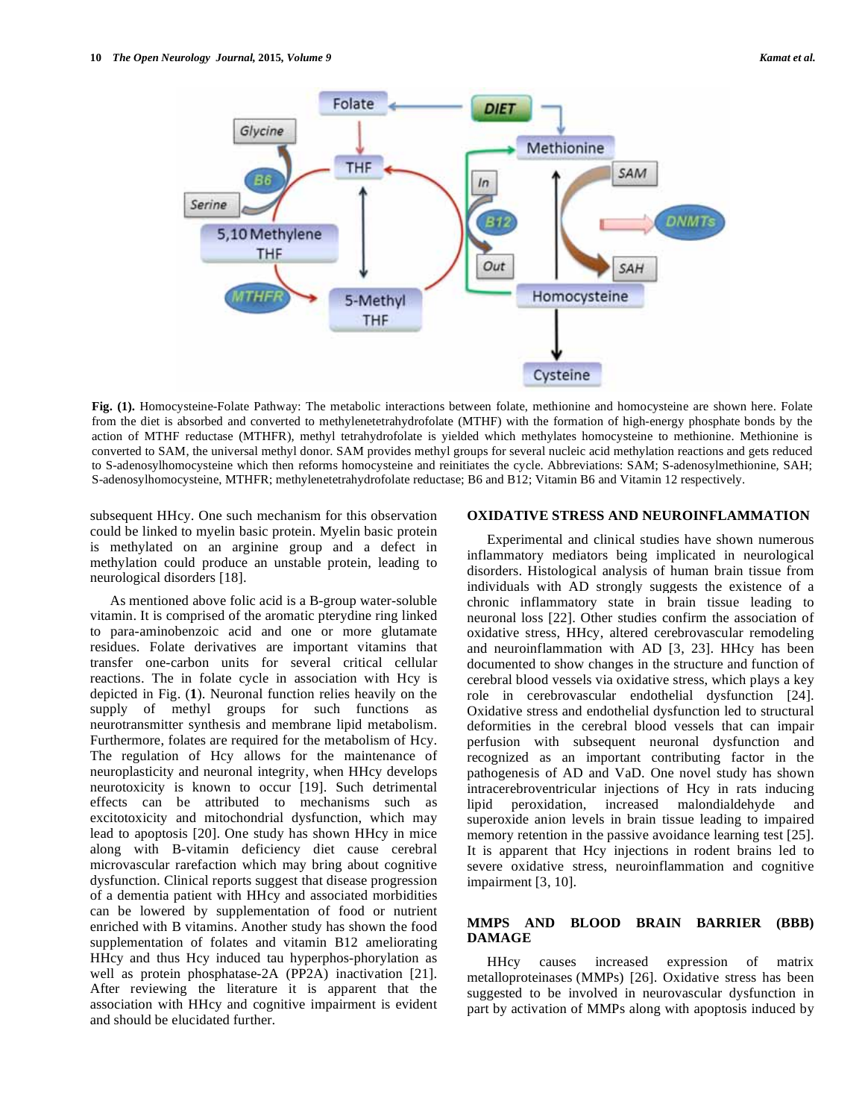

**Fig. (1).** Homocysteine-Folate Pathway: The metabolic interactions between folate, methionine and homocysteine are shown here. Folate from the diet is absorbed and converted to methylenetetrahydrofolate (MTHF) with the formation of high-energy phosphate bonds by the action of MTHF reductase (MTHFR), methyl tetrahydrofolate is yielded which methylates homocysteine to methionine. Methionine is converted to SAM, the universal methyl donor. SAM provides methyl groups for several nucleic acid methylation reactions and gets reduced to S-adenosylhomocysteine which then reforms homocysteine and reinitiates the cycle. Abbreviations: SAM; S-adenosylmethionine, SAH; S-adenosylhomocysteine, MTHFR; methylenetetrahydrofolate reductase; B6 and B12; Vitamin B6 and Vitamin 12 respectively.

subsequent HHcy. One such mechanism for this observation could be linked to myelin basic protein. Myelin basic protein is methylated on an arginine group and a defect in methylation could produce an unstable protein, leading to neurological disorders [18].

 As mentioned above folic acid is a B-group water-soluble vitamin. It is comprised of the aromatic pterydine ring linked to para-aminobenzoic acid and one or more glutamate residues. Folate derivatives are important vitamins that transfer one-carbon units for several critical cellular reactions. The in folate cycle in association with Hcy is depicted in Fig. (**1**). Neuronal function relies heavily on the supply of methyl groups for such functions as neurotransmitter synthesis and membrane lipid metabolism. Furthermore, folates are required for the metabolism of Hcy. The regulation of Hcy allows for the maintenance of neuroplasticity and neuronal integrity, when HHcy develops neurotoxicity is known to occur [19]. Such detrimental effects can be attributed to mechanisms such as excitotoxicity and mitochondrial dysfunction, which may lead to apoptosis [20]. One study has shown HHcy in mice along with B-vitamin deficiency diet cause cerebral microvascular rarefaction which may bring about cognitive dysfunction. Clinical reports suggest that disease progression of a dementia patient with HHcy and associated morbidities can be lowered by supplementation of food or nutrient enriched with B vitamins. Another study has shown the food supplementation of folates and vitamin B12 ameliorating HHcy and thus Hcy induced tau hyperphos-phorylation as well as protein phosphatase-2A (PP2A) inactivation [21]. After reviewing the literature it is apparent that the association with HHcy and cognitive impairment is evident and should be elucidated further.

### **OXIDATIVE STRESS AND NEUROINFLAMMATION**

 Experimental and clinical studies have shown numerous inflammatory mediators being implicated in neurological disorders. Histological analysis of human brain tissue from individuals with AD strongly suggests the existence of a chronic inflammatory state in brain tissue leading to neuronal loss [22]. Other studies confirm the association of oxidative stress, HHcy, altered cerebrovascular remodeling and neuroinflammation with AD [3, 23]. HHcy has been documented to show changes in the structure and function of cerebral blood vessels via oxidative stress, which plays a key role in cerebrovascular endothelial dysfunction [24]. Oxidative stress and endothelial dysfunction led to structural deformities in the cerebral blood vessels that can impair perfusion with subsequent neuronal dysfunction and recognized as an important contributing factor in the pathogenesis of AD and VaD. One novel study has shown intracerebroventricular injections of Hcy in rats inducing lipid peroxidation, increased malondialdehyde and superoxide anion levels in brain tissue leading to impaired memory retention in the passive avoidance learning test [25]. It is apparent that Hcy injections in rodent brains led to severe oxidative stress, neuroinflammation and cognitive impairment [3, 10].

## **MMPS AND BLOOD BRAIN BARRIER (BBB) DAMAGE**

 HHcy causes increased expression of matrix metalloproteinases (MMPs) [26]. Oxidative stress has been suggested to be involved in neurovascular dysfunction in part by activation of MMPs along with apoptosis induced by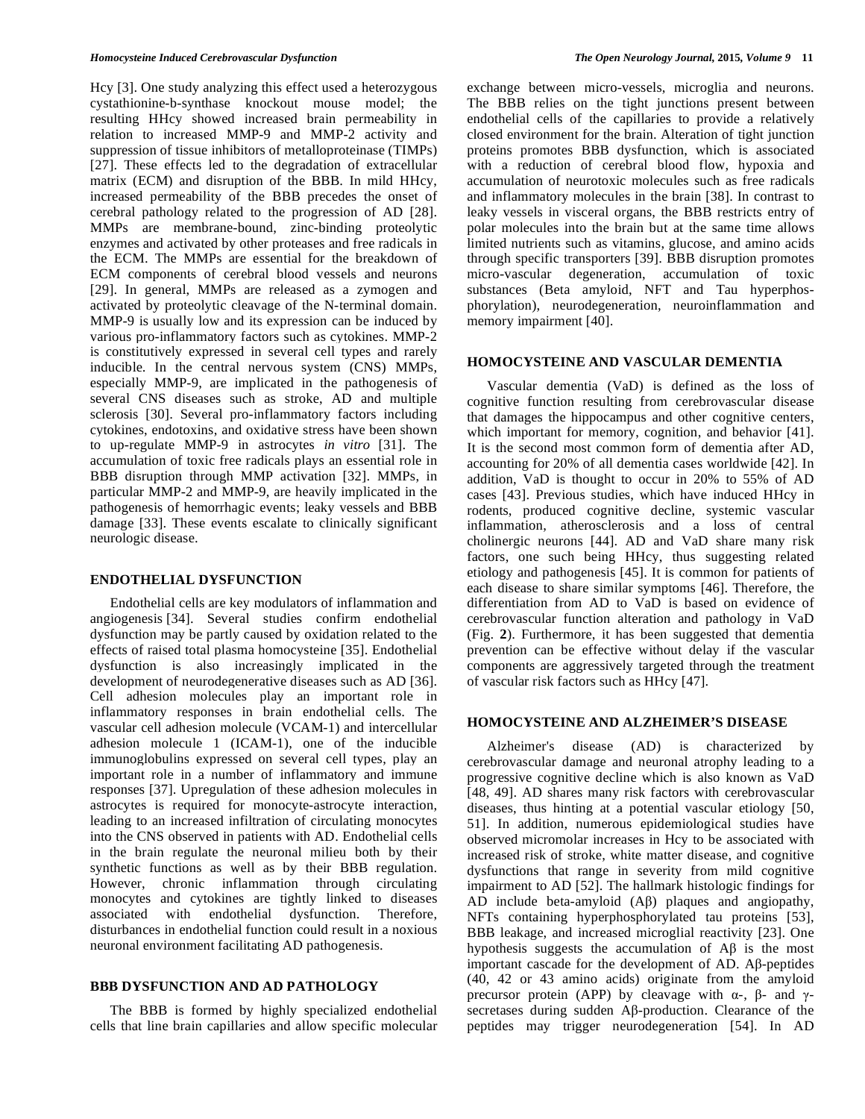Hcy [3]. One study analyzing this effect used a heterozygous cystathionine-b-synthase knockout mouse model; the resulting HHcy showed increased brain permeability in relation to increased MMP-9 and MMP-2 activity and suppression of tissue inhibitors of metalloproteinase (TIMPs) [27]. These effects led to the degradation of extracellular matrix (ECM) and disruption of the BBB. In mild HHcy, increased permeability of the BBB precedes the onset of cerebral pathology related to the progression of AD [28]. MMPs are membrane-bound, zinc-binding proteolytic enzymes and activated by other proteases and free radicals in the ECM. The MMPs are essential for the breakdown of ECM components of cerebral blood vessels and neurons [29]. In general, MMPs are released as a zymogen and activated by proteolytic cleavage of the N-terminal domain. MMP-9 is usually low and its expression can be induced by various pro-inflammatory factors such as cytokines. MMP-2 is constitutively expressed in several cell types and rarely inducible. In the central nervous system (CNS) MMPs, especially MMP-9, are implicated in the pathogenesis of several CNS diseases such as stroke, AD and multiple sclerosis [30]. Several pro-inflammatory factors including cytokines, endotoxins, and oxidative stress have been shown to up-regulate MMP-9 in astrocytes *in vitro* [31]. The accumulation of toxic free radicals plays an essential role in BBB disruption through MMP activation [32]. MMPs, in particular MMP-2 and MMP-9, are heavily implicated in the pathogenesis of hemorrhagic events; leaky vessels and BBB damage [33]. These events escalate to clinically significant neurologic disease.

#### **ENDOTHELIAL DYSFUNCTION**

 Endothelial cells are key modulators of inflammation and angiogenesis [34]. Several studies confirm endothelial dysfunction may be partly caused by oxidation related to the effects of raised total plasma homocysteine [35]. Endothelial dysfunction is also increasingly implicated in the development of neurodegenerative diseases such as AD [36]. Cell adhesion molecules play an important role in inflammatory responses in brain endothelial cells. The vascular cell adhesion molecule (VCAM-1) and intercellular adhesion molecule 1 (ICAM-1), one of the inducible immunoglobulins expressed on several cell types, play an important role in a number of inflammatory and immune responses [37]. Upregulation of these adhesion molecules in astrocytes is required for monocyte-astrocyte interaction, leading to an increased infiltration of circulating monocytes into the CNS observed in patients with AD. Endothelial cells in the brain regulate the neuronal milieu both by their synthetic functions as well as by their BBB regulation. However, chronic inflammation through circulating monocytes and cytokines are tightly linked to diseases associated with endothelial dysfunction. Therefore, disturbances in endothelial function could result in a noxious neuronal environment facilitating AD pathogenesis.

## **BBB DYSFUNCTION AND AD PATHOLOGY**

 The BBB is formed by highly specialized endothelial cells that line brain capillaries and allow specific molecular exchange between micro-vessels, microglia and neurons. The BBB relies on the tight junctions present between endothelial cells of the capillaries to provide a relatively closed environment for the brain. Alteration of tight junction proteins promotes BBB dysfunction, which is associated with a reduction of cerebral blood flow, hypoxia and accumulation of neurotoxic molecules such as free radicals and inflammatory molecules in the brain [38]. In contrast to leaky vessels in visceral organs, the BBB restricts entry of polar molecules into the brain but at the same time allows limited nutrients such as vitamins, glucose, and amino acids through specific transporters [39]. BBB disruption promotes micro-vascular degeneration, accumulation of toxic substances (Beta amyloid, NFT and Tau hyperphosphorylation), neurodegeneration, neuroinflammation and memory impairment [40].

#### **HOMOCYSTEINE AND VASCULAR DEMENTIA**

 Vascular dementia (VaD) is defined as the loss of cognitive function resulting from cerebrovascular disease that damages the hippocampus and other cognitive centers, which important for memory, cognition, and behavior [41]. It is the second most common form of dementia after AD, accounting for 20% of all dementia cases worldwide [42]. In addition, VaD is thought to occur in 20% to 55% of AD cases [43]. Previous studies, which have induced HHcy in rodents, produced cognitive decline, systemic vascular inflammation, atherosclerosis and a loss of central cholinergic neurons [44]. AD and VaD share many risk factors, one such being HHcy, thus suggesting related etiology and pathogenesis [45]. It is common for patients of each disease to share similar symptoms [46]. Therefore, the differentiation from AD to VaD is based on evidence of cerebrovascular function alteration and pathology in VaD (Fig. **2**). Furthermore, it has been suggested that dementia prevention can be effective without delay if the vascular components are aggressively targeted through the treatment of vascular risk factors such as HHcy [47].

## **HOMOCYSTEINE AND ALZHEIMER'S DISEASE**

 Alzheimer's disease (AD) is characterized by cerebrovascular damage and neuronal atrophy leading to a progressive cognitive decline which is also known as VaD [48, 49]. AD shares many risk factors with cerebrovascular diseases, thus hinting at a potential vascular etiology [50, 51]. In addition, numerous epidemiological studies have observed micromolar increases in Hcy to be associated with increased risk of stroke, white matter disease, and cognitive dysfunctions that range in severity from mild cognitive impairment to AD [52]. The hallmark histologic findings for AD include beta-amyloid  $(A\beta)$  plaques and angiopathy, NFTs containing hyperphosphorylated tau proteins [53], BBB leakage, and increased microglial reactivity [23]. One hypothesis suggests the accumulation of  $\mathbf{A}\beta$  is the most important cascade for the development of  $AD$ .  $A\beta$ -peptides (40, 42 or 43 amino acids) originate from the amyloid precursor protein (APP) by cleavage with  $\alpha$ -,  $\beta$ - and  $\gamma$ secretases during sudden  $\mathsf{A}\beta$ -production. Clearance of the peptides may trigger neurodegeneration [54]. In AD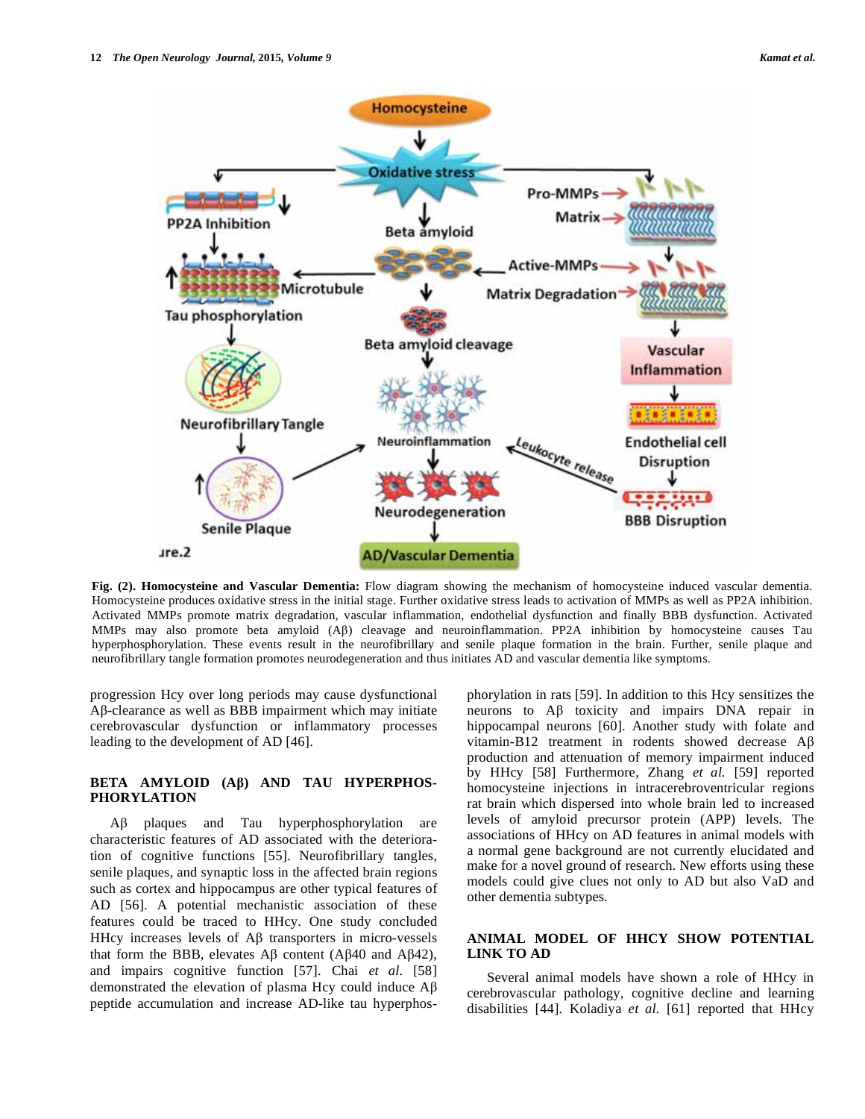

**Fig. (2). Homocysteine and Vascular Dementia:** Flow diagram showing the mechanism of homocysteine induced vascular dementia. Homocysteine produces oxidative stress in the initial stage. Further oxidative stress leads to activation of MMPs as well as PP2A inhibition. Activated MMPs promote matrix degradation, vascular inflammation, endothelial dysfunction and finally BBB dysfunction. Activated MMPs may also promote beta amyloid  $(A\beta)$  cleavage and neuroinflammation. PP2A inhibition by homocysteine causes Tau hyperphosphorylation. These events result in the neurofibrillary and senile plaque formation in the brain. Further, senile plaque and neurofibrillary tangle formation promotes neurodegeneration and thus initiates AD and vascular dementia like symptoms.

progression Hcy over long periods may cause dysfunctional  $\mathsf{A}\beta$ -clearance as well as BBB impairment which may initiate cerebrovascular dysfunction or inflammatory processes leading to the development of AD [46].

## BETA AMYLOID (A<sub>B</sub>) AND TAU HYPERPHOS-**PHORYLATION**

 $\text{A}\beta$  plaques and Tau hyperphosphorylation are characteristic features of AD associated with the deterioration of cognitive functions [55]. Neurofibrillary tangles, senile plaques, and synaptic loss in the affected brain regions such as cortex and hippocampus are other typical features of AD [56]. A potential mechanistic association of these features could be traced to HHcy. One study concluded HHcy increases levels of  $\mathsf{A}\beta$  transporters in micro-vessels that form the BBB, elevates  $\mathcal{A}\beta$  content ( $\mathcal{A}\beta$ 40 and  $\mathcal{A}\beta$ 42), and impairs cognitive function [57]. Chai *et al.* [58] demonstrated the elevation of plasma Hcy could induce  $A\beta$ peptide accumulation and increase AD-like tau hyperphosphorylation in rats [59]. In addition to this Hcy sensitizes the neurons to  $\mathbf{A}\beta$  toxicity and impairs DNA repair in hippocampal neurons [60]. Another study with folate and vitamin-B12 treatment in rodents showed decrease  $\overrightarrow{AB}$ production and attenuation of memory impairment induced by HHcy [58] Furthermore, Zhang *et al.* [59] reported homocysteine injections in intracerebroventricular regions rat brain which dispersed into whole brain led to increased levels of amyloid precursor protein (APP) levels. The associations of HHcy on AD features in animal models with a normal gene background are not currently elucidated and make for a novel ground of research. New efforts using these models could give clues not only to AD but also VaD and other dementia subtypes.

# **ANIMAL MODEL OF HHCY SHOW POTENTIAL LINK TO AD**

 Several animal models have shown a role of HHcy in cerebrovascular pathology, cognitive decline and learning disabilities [44]. Koladiya *et al.* [61] reported that HHcy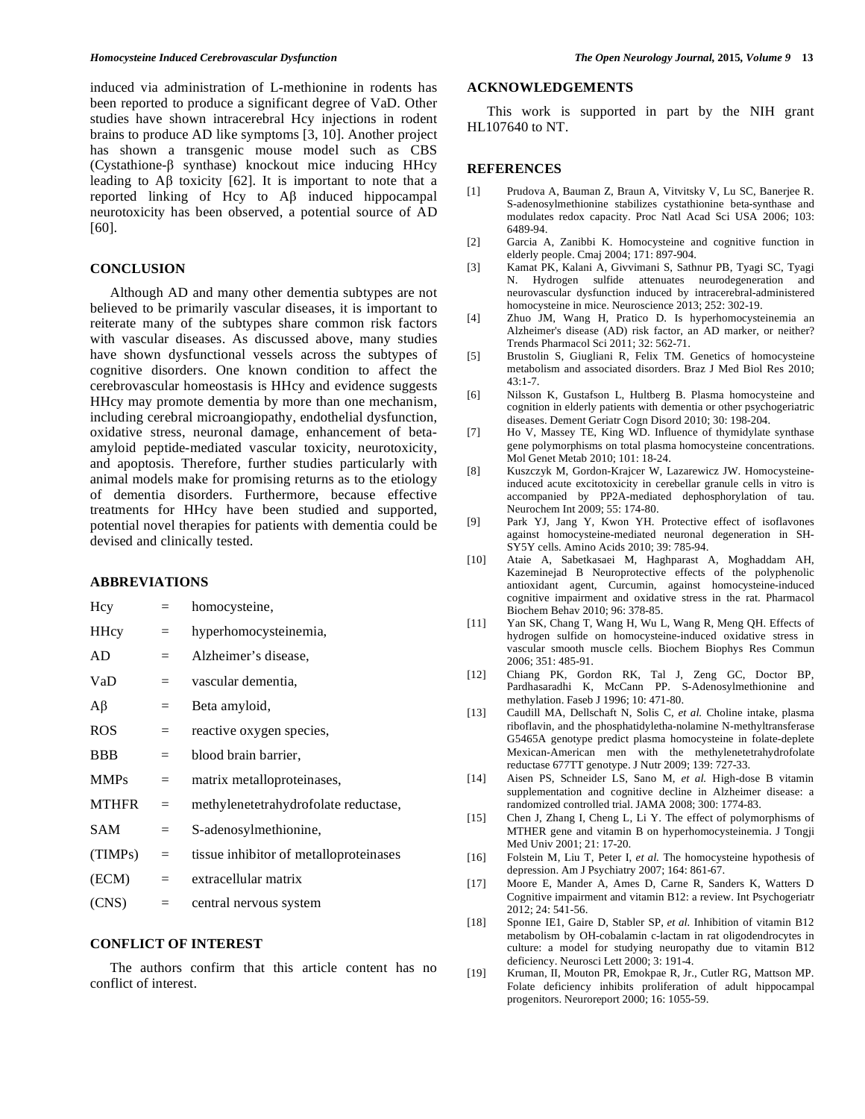induced via administration of L-methionine in rodents has been reported to produce a significant degree of VaD. Other studies have shown intracerebral Hcy injections in rodent brains to produce AD like symptoms [3, 10]. Another project has shown a transgenic mouse model such as CBS (Cystathione- $\beta$  synthase) knockout mice inducing HHcy leading to  $\overrightarrow{AB}$  toxicity [62]. It is important to note that a reported linking of Hcy to  $\overrightarrow{AB}$  induced hippocampal neurotoxicity has been observed, a potential source of AD [60].

## **CONCLUSION**

 Although AD and many other dementia subtypes are not believed to be primarily vascular diseases, it is important to reiterate many of the subtypes share common risk factors with vascular diseases. As discussed above, many studies have shown dysfunctional vessels across the subtypes of cognitive disorders. One known condition to affect the cerebrovascular homeostasis is HHcy and evidence suggests HHcy may promote dementia by more than one mechanism, including cerebral microangiopathy, endothelial dysfunction, oxidative stress, neuronal damage, enhancement of betaamyloid peptide-mediated vascular toxicity, neurotoxicity, and apoptosis. Therefore, further studies particularly with animal models make for promising returns as to the etiology of dementia disorders. Furthermore, because effective treatments for HHcy have been studied and supported, potential novel therapies for patients with dementia could be devised and clinically tested.

# **ABBREVIATIONS**

| Hcy         | $=$     | homocysteine,                          |
|-------------|---------|----------------------------------------|
| <b>HHcy</b> | $=$     | hyperhomocysteinemia,                  |
| AD          | $=$     | Alzheimer's disease,                   |
| VaD         | $=$ $-$ | vascular dementia,                     |
| Aβ          | $=$     | Beta amyloid,                          |
| <b>ROS</b>  | $=$     | reactive oxygen species,               |
| <b>BBB</b>  | $=$     | blood brain barrier,                   |
| <b>MMPs</b> | $=$     | matrix metalloproteinases,             |
| MTHFR       | $=$     | methylenetetrahydrofolate reductase,   |
| SAM         | $=$     | S-adenosylmethionine,                  |
| (TIMPs)     | $=$     | tissue inhibitor of metalloproteinases |
| (ECM)       | $=$     | extracellular matrix                   |
| (CNS)       | $=$     | central nervous system                 |

#### **CONFLICT OF INTEREST**

 The authors confirm that this article content has no conflict of interest.

## **ACKNOWLEDGEMENTS**

 This work is supported in part by the NIH grant HL107640 to NT.

#### **REFERENCES**

- [1] Prudova A, Bauman Z, Braun A, Vitvitsky V, Lu SC, Banerjee R. S-adenosylmethionine stabilizes cystathionine beta-synthase and modulates redox capacity. Proc Natl Acad Sci USA 2006; 103: 6489-94.
- [2] Garcia A, Zanibbi K. Homocysteine and cognitive function in elderly people. Cmaj 2004; 171: 897-904.
- [3] Kamat PK, Kalani A, Givvimani S, Sathnur PB, Tyagi SC, Tyagi N. Hydrogen sulfide attenuates neurodegeneration and neurovascular dysfunction induced by intracerebral-administered homocysteine in mice. Neuroscience 2013; 252: 302-19.
- [4] Zhuo JM, Wang H, Pratico D. Is hyperhomocysteinemia an Alzheimer's disease (AD) risk factor, an AD marker, or neither? Trends Pharmacol Sci 2011; 32: 562-71.
- [5] Brustolin S, Giugliani R, Felix TM. Genetics of homocysteine metabolism and associated disorders. Braz J Med Biol Res 2010;  $43:1 - 7$ .
- [6] Nilsson K, Gustafson L, Hultberg B. Plasma homocysteine and cognition in elderly patients with dementia or other psychogeriatric diseases. Dement Geriatr Cogn Disord 2010; 30: 198-204.
- [7] Ho V, Massey TE, King WD. Influence of thymidylate synthase gene polymorphisms on total plasma homocysteine concentrations. Mol Genet Metab 2010; 101: 18-24.
- [8] Kuszczyk M, Gordon-Krajcer W, Lazarewicz JW. Homocysteineinduced acute excitotoxicity in cerebellar granule cells in vitro is accompanied by PP2A-mediated dephosphorylation of tau. Neurochem Int 2009; 55: 174-80.
- [9] Park YJ, Jang Y, Kwon YH. Protective effect of isoflavones against homocysteine-mediated neuronal degeneration in SH-SY5Y cells. Amino Acids 2010; 39: 785-94.
- [10] Ataie A, Sabetkasaei M, Haghparast A, Moghaddam AH, Kazeminejad B Neuroprotective effects of the polyphenolic antioxidant agent, Curcumin, against homocysteine-induced cognitive impairment and oxidative stress in the rat. Pharmacol Biochem Behav 2010; 96: 378-85.
- [11] Yan SK, Chang T, Wang H, Wu L, Wang R, Meng QH. Effects of hydrogen sulfide on homocysteine-induced oxidative stress in vascular smooth muscle cells. Biochem Biophys Res Commun 2006; 351: 485-91.
- [12] Chiang PK, Gordon RK, Tal J, Zeng GC, Doctor BP, Pardhasaradhi K, McCann PP. S-Adenosylmethionine and methylation. Faseb J 1996; 10: 471-80.
- [13] Caudill MA, Dellschaft N, Solis C, *et al.* Choline intake, plasma riboflavin, and the phosphatidyletha-nolamine N-methyltransferase G5465A genotype predict plasma homocysteine in folate-deplete Mexican-American men with the methylenetetrahydrofolate reductase 677TT genotype. J Nutr 2009; 139: 727-33.
- [14] Aisen PS, Schneider LS, Sano M, *et al.* High-dose B vitamin supplementation and cognitive decline in Alzheimer disease: a randomized controlled trial. JAMA 2008; 300: 1774-83.
- [15] Chen J, Zhang I, Cheng L, Li Y. The effect of polymorphisms of MTHER gene and vitamin B on hyperhomocysteinemia. J Tongji Med Univ 2001; 21: 17-20.
- [16] Folstein M, Liu T, Peter I, *et al.* The homocysteine hypothesis of depression. Am J Psychiatry 2007; 164: 861-67.
- [17] Moore E, Mander A, Ames D, Carne R, Sanders K, Watters D Cognitive impairment and vitamin B12: a review. Int Psychogeriatr 2012; 24: 541-56.
- [18] Sponne IE1, Gaire D, Stabler SP, *et al.* Inhibition of vitamin B12 metabolism by OH-cobalamin c-lactam in rat oligodendrocytes in culture: a model for studying neuropathy due to vitamin B12 deficiency. Neurosci Lett 2000; 3: 191-4.
- [19] Kruman, II, Mouton PR, Emokpae R, Jr., Cutler RG, Mattson MP. Folate deficiency inhibits proliferation of adult hippocampal progenitors. Neuroreport 2000; 16: 1055-59.